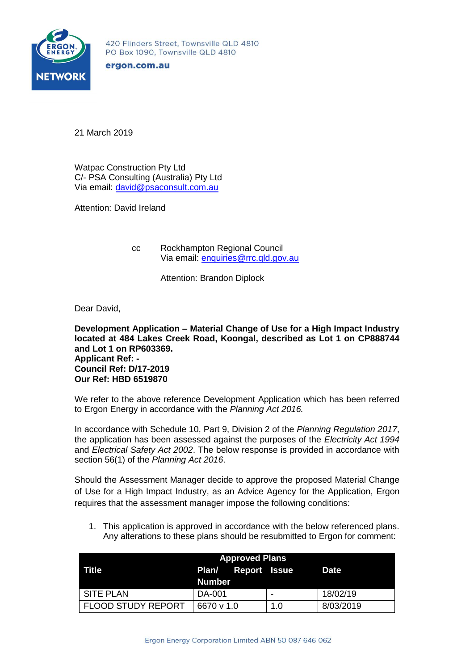

420 Flinders Street, Townsville QLD 4810 PO Box 1090, Townsville QLD 4810

ergon.com.au

21 March 2019

Watpac Construction Pty Ltd C/- PSA Consulting (Australia) Pty Ltd Via email: [david@psaconsult.com.au](mailto:david@psaconsult.com.au)

Attention: David Ireland

cc Rockhampton Regional Council Via email: [enquiries@rrc.qld.gov.au](mailto:enquiries@rrc.qld.gov.au)

Attention: Brandon Diplock

Dear David,

**Development Application – Material Change of Use for a High Impact Industry located at 484 Lakes Creek Road, Koongal, described as Lot 1 on CP888744 and Lot 1 on RP603369. Applicant Ref: - Council Ref: D/17-2019 Our Ref: HBD 6519870**

We refer to the above reference Development Application which has been referred to Ergon Energy in accordance with the *Planning Act 2016.*

In accordance with Schedule 10, Part 9, Division 2 of the *Planning Regulation 2017*, the application has been assessed against the purposes of the *Electricity Act 1994*  and *Electrical Safety Act 2002*. The below response is provided in accordance with section 56(1) of the *Planning Act 2016*.

Should the Assessment Manager decide to approve the proposed Material Change of Use for a High Impact Industry, as an Advice Agency for the Application, Ergon requires that the assessment manager impose the following conditions:

1. This application is approved in accordance with the below referenced plans. Any alterations to these plans should be resubmitted to Ergon for comment:

| <b>Approved Plans</b>     |                           |  |     |           |
|---------------------------|---------------------------|--|-----|-----------|
| Title                     | <b>Plan/ Report Issue</b> |  |     | Date      |
|                           | Number                    |  |     |           |
| SITE PLAN                 | DA-001                    |  | -   | 18/02/19  |
| <b>FLOOD STUDY REPORT</b> | 6670 v 1.0                |  | 1.0 | 8/03/2019 |